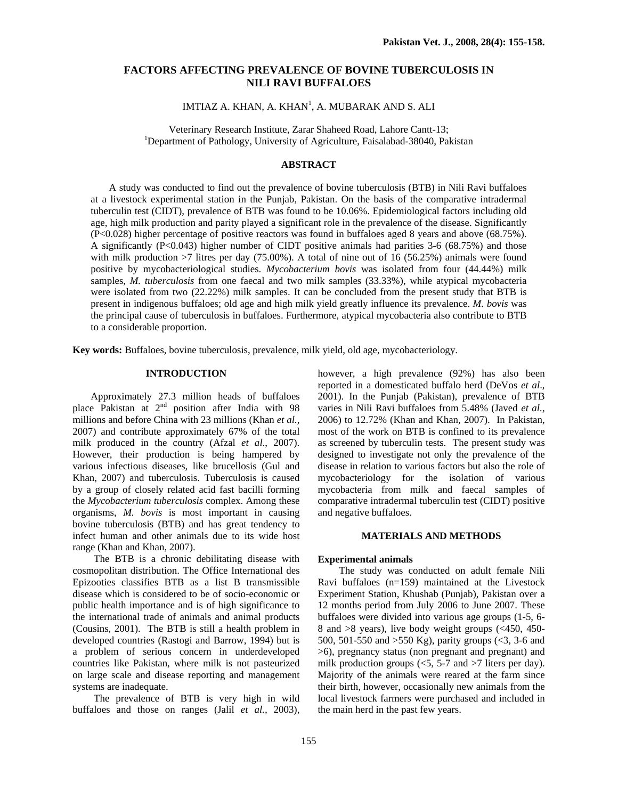# **FACTORS AFFECTING PREVALENCE OF BOVINE TUBERCULOSIS IN NILI RAVI BUFFALOES**

 $IMTIAZ$  A. KHAN, A. KHAN $^{1}$ , A. MUBARAK AND S. ALI

Veterinary Research Institute, Zarar Shaheed Road, Lahore Cantt-13; 1 Department of Pathology, University of Agriculture, Faisalabad-38040, Pakistan

## **ABSTRACT**

A study was conducted to find out the prevalence of bovine tuberculosis (BTB) in Nili Ravi buffaloes at a livestock experimental station in the Punjab, Pakistan. On the basis of the comparative intradermal tuberculin test (CIDT), prevalence of BTB was found to be 10.06%. Epidemiological factors including old age, high milk production and parity played a significant role in the prevalence of the disease. Significantly (P<0.028) higher percentage of positive reactors was found in buffaloes aged 8 years and above (68.75%). A significantly (P<0.043) higher number of CIDT positive animals had parities 3-6 (68.75%) and those with milk production  $>7$  litres per day (75.00%). A total of nine out of 16 (56.25%) animals were found positive by mycobacteriological studies. *Mycobacterium bovis* was isolated from four (44.44%) milk samples, *M. tuberculosis* from one faecal and two milk samples (33.33%), while atypical mycobacteria were isolated from two (22.22%) milk samples. It can be concluded from the present study that BTB is present in indigenous buffaloes; old age and high milk yield greatly influence its prevalence. *M. bovis* was the principal cause of tuberculosis in buffaloes. Furthermore, atypical mycobacteria also contribute to BTB to a considerable proportion.

**Key words:** Buffaloes, bovine tuberculosis, prevalence, milk yield, old age, mycobacteriology.

## **INTRODUCTION**

Approximately 27.3 million heads of buffaloes place Pakistan at  $2<sup>nd</sup>$  position after India with 98 millions and before China with 23 millions (Khan *et al.,* 2007) and contribute approximately 67% of the total milk produced in the country (Afzal *et al*., 2007). However, their production is being hampered by various infectious diseases, like brucellosis (Gul and Khan, 2007) and tuberculosis. Tuberculosis is caused by a group of closely related acid fast bacilli forming the *Mycobacterium tuberculosis* complex. Among these organisms, *M. bovis* is most important in causing bovine tuberculosis (BTB) and has great tendency to infect human and other animals due to its wide host range (Khan and Khan, 2007).

The BTB is a chronic debilitating disease with cosmopolitan distribution. The Office International des Epizooties classifies BTB as a list B transmissible disease which is considered to be of socio-economic or public health importance and is of high significance to the international trade of animals and animal products (Cousins, 2001). The BTB is still a health problem in developed countries (Rastogi and Barrow, 1994) but is a problem of serious concern in underdeveloped countries like Pakistan, where milk is not pasteurized on large scale and disease reporting and management systems are inadequate.

The prevalence of BTB is very high in wild buffaloes and those on ranges (Jalil *et al.,* 2003), however, a high prevalence (92%) has also been reported in a domesticated buffalo herd (DeVos *et al*., 2001). In the Punjab (Pakistan), prevalence of BTB varies in Nili Ravi buffaloes from 5.48% (Javed *et al.,*  2006) to 12.72% (Khan and Khan, 2007). In Pakistan, most of the work on BTB is confined to its prevalence as screened by tuberculin tests. The present study was designed to investigate not only the prevalence of the disease in relation to various factors but also the role of mycobacteriology for the isolation of various mycobacteria from milk and faecal samples of comparative intradermal tuberculin test (CIDT) positive and negative buffaloes.

#### **MATERIALS AND METHODS**

#### **Experimental animals**

The study was conducted on adult female Nili Ravi buffaloes (n=159) maintained at the Livestock Experiment Station, Khushab (Punjab), Pakistan over a 12 months period from July 2006 to June 2007. These buffaloes were divided into various age groups (1-5, 6- 8 and >8 years), live body weight groups (<450, 450- 500, 501-550 and >550 Kg), parity groups (<3, 3-6 and >6), pregnancy status (non pregnant and pregnant) and milk production groups  $\langle 5, 5 \text{-} 7 \rangle$  and  $\langle 7 \rangle$  liters per day). Majority of the animals were reared at the farm since their birth, however, occasionally new animals from the local livestock farmers were purchased and included in the main herd in the past few years.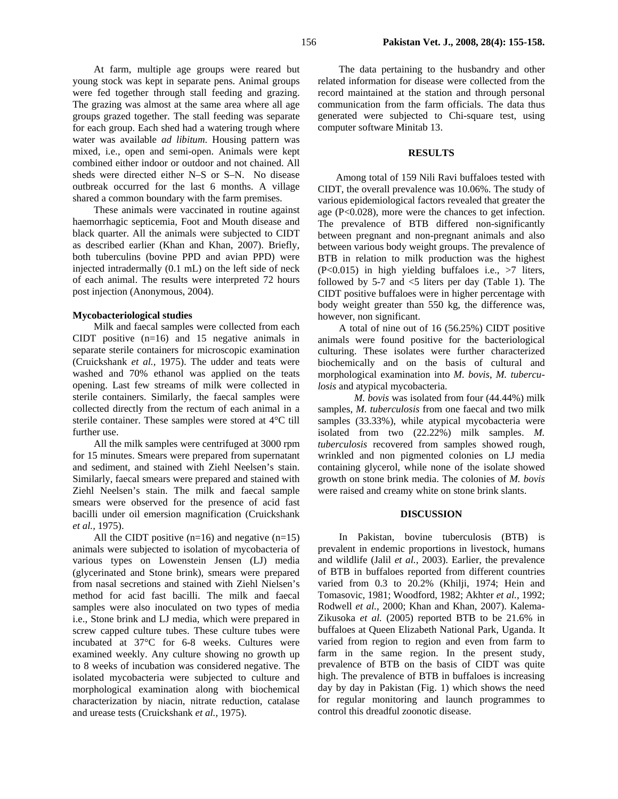The grazing was almost at the same area where all age groups grazed together. The stall feeding was separate for each group. Each shed had a watering trough where water was available *ad libitum*. Housing pattern was mixed, i.e., open and semi-open. Animals were kept combined either indoor or outdoor and not chained. All sheds were directed either N–S or S–N. No disease outbreak occurred for the last 6 months. A village shared a common boundary with the farm premises.

These animals were vaccinated in routine against haemorrhagic septicemia, Foot and Mouth disease and black quarter. All the animals were subjected to CIDT as described earlier (Khan and Khan, 2007). Briefly, both tuberculins (bovine PPD and avian PPD) were injected intradermally (0.1 mL) on the left side of neck of each animal. The results were interpreted 72 hours post injection (Anonymous, 2004).

## **Mycobacteriological studies**

Milk and faecal samples were collected from each CIDT positive (n=16) and 15 negative animals in separate sterile containers for microscopic examination (Cruickshank *et al.,* 1975). The udder and teats were washed and 70% ethanol was applied on the teats opening. Last few streams of milk were collected in sterile containers. Similarly, the faecal samples were collected directly from the rectum of each animal in a sterile container. These samples were stored at 4°C till further use.

All the milk samples were centrifuged at 3000 rpm for 15 minutes. Smears were prepared from supernatant and sediment, and stained with Ziehl Neelsen's stain. Similarly, faecal smears were prepared and stained with Ziehl Neelsen's stain. The milk and faecal sample smears were observed for the presence of acid fast bacilli under oil emersion magnification (Cruickshank *et al.,* 1975).

All the CIDT positive  $(n=16)$  and negative  $(n=15)$ animals were subjected to isolation of mycobacteria of various types on Lowenstein Jensen (LJ) media (glycerinated and Stone brink), smears were prepared from nasal secretions and stained with Ziehl Nielsen's method for acid fast bacilli. The milk and faecal samples were also inoculated on two types of media i.e., Stone brink and LJ media, which were prepared in screw capped culture tubes. These culture tubes were incubated at 37°C for 6-8 weeks. Cultures were examined weekly. Any culture showing no growth up to 8 weeks of incubation was considered negative. The isolated mycobacteria were subjected to culture and morphological examination along with biochemical characterization by niacin, nitrate reduction, catalase and urease tests (Cruickshank *et al.,* 1975).

The data pertaining to the husbandry and other related information for disease were collected from the record maintained at the station and through personal communication from the farm officials. The data thus generated were subjected to Chi-square test, using computer software Minitab 13.

## **RESULTS**

Among total of 159 Nili Ravi buffaloes tested with CIDT, the overall prevalence was 10.06%. The study of various epidemiological factors revealed that greater the age (P<0.028), more were the chances to get infection. The prevalence of BTB differed non-significantly between pregnant and non-pregnant animals and also between various body weight groups. The prevalence of BTB in relation to milk production was the highest  $(P<0.015)$  in high yielding buffaloes i.e.,  $>7$  liters, followed by 5-7 and  $\leq$ 5 liters per day (Table 1). The CIDT positive buffaloes were in higher percentage with body weight greater than 550 kg, the difference was, however, non significant.

A total of nine out of 16 (56.25%) CIDT positive animals were found positive for the bacteriological culturing. These isolates were further characterized biochemically and on the basis of cultural and morphological examination into *M. bovis*, *M. tuberculosis* and atypical mycobacteria.

 *M. bovis* was isolated from four (44.44%) milk samples, *M. tuberculosis* from one faecal and two milk samples (33.33%), while atypical mycobacteria were isolated from two (22.22%) milk samples. *M. tuberculosis* recovered from samples showed rough, wrinkled and non pigmented colonies on LJ media containing glycerol, while none of the isolate showed growth on stone brink media. The colonies of *M. bovis*  were raised and creamy white on stone brink slants.

#### **DISCUSSION**

In Pakistan, bovine tuberculosis (BTB) is prevalent in endemic proportions in livestock, humans and wildlife (Jalil *et al.,* 2003). Earlier, the prevalence of BTB in buffaloes reported from different countries varied from 0.3 to 20.2% (Khilji, 1974; Hein and Tomasovic, 1981; Woodford, 1982; Akhter *et al.,* 1992; Rodwell *et al.,* 2000; Khan and Khan, 2007). Kalema-Zikusoka *et al.* (2005) reported BTB to be 21.6% in buffaloes at Queen Elizabeth National Park, Uganda. It varied from region to region and even from farm to farm in the same region. In the present study, prevalence of BTB on the basis of CIDT was quite high. The prevalence of BTB in buffaloes is increasing day by day in Pakistan (Fig. 1) which shows the need for regular monitoring and launch programmes to control this dreadful zoonotic disease.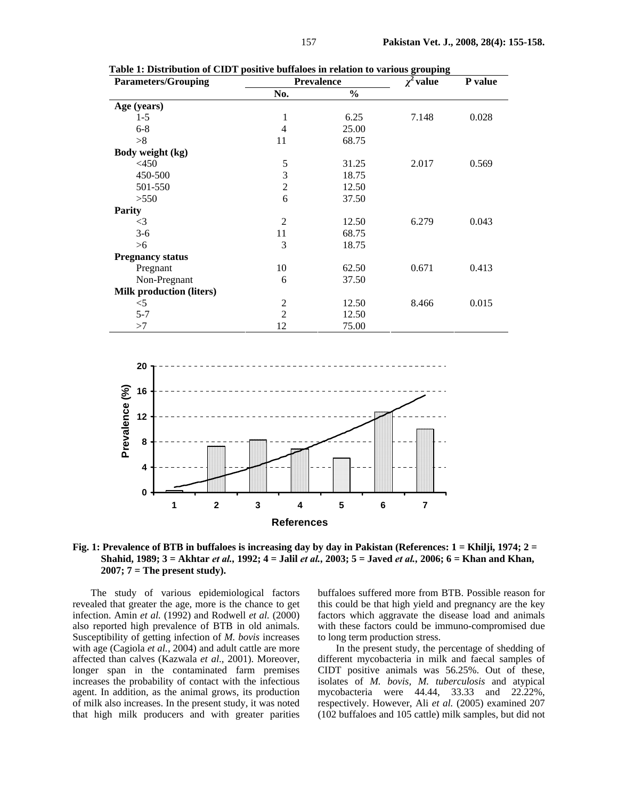| <b>Parameters/Grouping</b>      | <b>Prevalence</b> |               | $\chi^2$ value | P value |
|---------------------------------|-------------------|---------------|----------------|---------|
|                                 | No.               | $\frac{0}{0}$ |                |         |
| Age (years)                     |                   |               |                |         |
| $1-5$                           | 1                 | 6.25          | 7.148          | 0.028   |
| $6 - 8$                         | 4                 | 25.00         |                |         |
| >8                              | 11                | 68.75         |                |         |
| Body weight (kg)                |                   |               |                |         |
| $<$ 450                         | 5                 | 31.25         | 2.017          | 0.569   |
| 450-500                         | 3                 | 18.75         |                |         |
| 501-550                         | $\overline{2}$    | 12.50         |                |         |
| >550                            | 6                 | 37.50         |                |         |
| <b>Parity</b>                   |                   |               |                |         |
| $\leq$ 3                        | $\overline{2}$    | 12.50         | 6.279          | 0.043   |
| $3-6$                           | 11                | 68.75         |                |         |
| >6                              | 3                 | 18.75         |                |         |
| <b>Pregnancy status</b>         |                   |               |                |         |
| Pregnant                        | 10                | 62.50         | 0.671          | 0.413   |
| Non-Pregnant                    | 6                 | 37.50         |                |         |
| <b>Milk production (liters)</b> |                   |               |                |         |
| $<$ 5                           | $\overline{c}$    | 12.50         | 8.466          | 0.015   |
| $5 - 7$                         | $\overline{2}$    | 12.50         |                |         |
| >7                              | 12                | 75.00         |                |         |

**Table 1: Distribution of CIDT positive buffaloes in relation to various grouping** 



**Fig. 1: Prevalence of BTB in buffaloes is increasing day by day in Pakistan (References: 1 = Khilji, 1974; 2 = Shahid, 1989; 3 = Akhtar** *et al.,* **1992; 4 = Jalil** *et al.,* **2003; 5 = Javed** *et al.,* **2006; 6 = Khan and Khan, 2007; 7 = The present study).** 

The study of various epidemiological factors revealed that greater the age, more is the chance to get infection. Amin *et al.* (1992) and Rodwell *et al.* (2000) also reported high prevalence of BTB in old animals. Susceptibility of getting infection of *M. bovis* increases with age (Cagiola *et al.*, 2004) and adult cattle are more affected than calves (Kazwala *et al*., 2001). Moreover, longer span in the contaminated farm premises increases the probability of contact with the infectious agent. In addition, as the animal grows, its production of milk also increases. In the present study, it was noted that high milk producers and with greater parities

buffaloes suffered more from BTB. Possible reason for this could be that high yield and pregnancy are the key factors which aggravate the disease load and animals with these factors could be immuno-compromised due to long term production stress.

In the present study, the percentage of shedding of different mycobacteria in milk and faecal samples of CIDT positive animals was 56.25%. Out of these, isolates of *M. bovis, M. tuberculosis* and atypical mycobacteria were 44.44, 33.33 and 22.22%, respectively. However, Ali *et al.* (2005) examined 207 (102 buffaloes and 105 cattle) milk samples, but did not